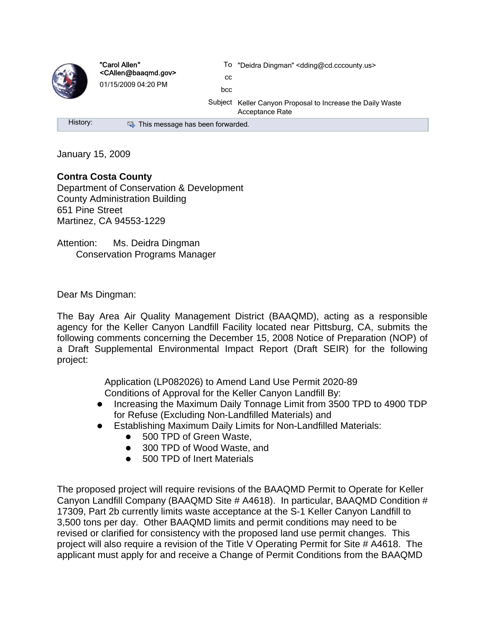

"Carol Allen" <CAllen@baaqmd.gov> 01/15/2009 04:20 PM

To "Deidra Dingman" <dding@cd.cccounty.us>

cc bcc

Subject Keller Canyon Proposal to Increase the Daily Waste Acceptance Rate

History: Same This message has been forwarded.

January 15, 2009

## **Contra Costa County**

Department of Conservation & Development County Administration Building 651 Pine Street Martinez, CA 94553-1229

Attention: Ms. Deidra Dingman Conservation Programs Manager

Dear Ms Dingman:

The Bay Area Air Quality Management District (BAAQMD), acting as a responsible agency for the Keller Canyon Landfill Facility located near Pittsburg, CA, submits the following comments concerning the December 15, 2008 Notice of Preparation (NOP) of a Draft Supplemental Environmental Impact Report (Draft SEIR) for the following project:

> Application (LP082026) to Amend Land Use Permit 2020-89 Conditions of Approval for the Keller Canyon Landfill By:

- Increasing the Maximum Daily Tonnage Limit from 3500 TPD to 4900 TDP for Refuse (Excluding Non-Landfilled Materials) and
- Establishing Maximum Daily Limits for Non-Landfilled Materials:
	- 500 TPD of Green Waste.
	- 300 TPD of Wood Waste, and
	- 500 TPD of Inert Materials

The proposed project will require revisions of the BAAQMD Permit to Operate for Keller Canyon Landfill Company (BAAQMD Site # A4618). In particular, BAAQMD Condition # 17309, Part 2b currently limits waste acceptance at the S-1 Keller Canyon Landfill to 3,500 tons per day. Other BAAQMD limits and permit conditions may need to be revised or clarified for consistency with the proposed land use permit changes. This project will also require a revision of the Title V Operating Permit for Site # A4618. The applicant must apply for and receive a Change of Permit Conditions from the BAAQMD